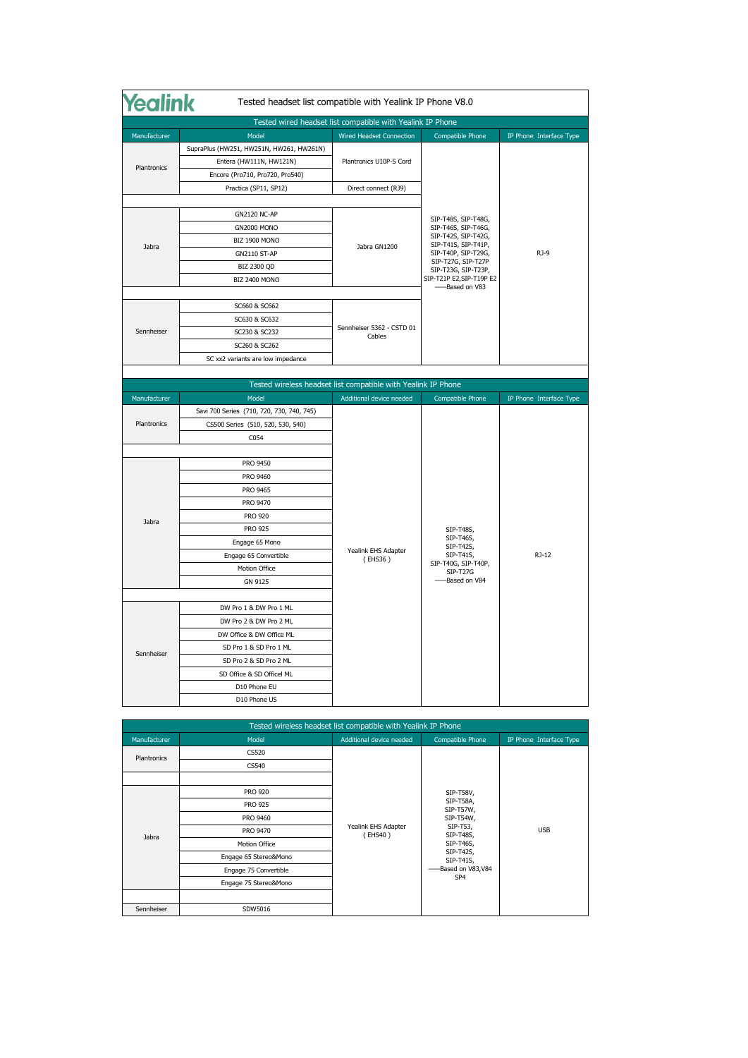| <b>ealink</b> | Tested headset list compatible with Yealink IP Phone V8.0 |                                                               |                                                                         |                         |
|---------------|-----------------------------------------------------------|---------------------------------------------------------------|-------------------------------------------------------------------------|-------------------------|
|               |                                                           | Tested wired headset list compatible with Yealink IP Phone    |                                                                         |                         |
| Manufacturer  | Model                                                     | Wired Headset Connection                                      | Compatible Phone                                                        | IP Phone Interface Type |
|               | SupraPlus (HW251, HW251N, HW261, HW261N)                  |                                                               |                                                                         |                         |
| Plantronics   | Entera (HW111N, HW121N)                                   | Plantronics U10P-S Cord                                       |                                                                         |                         |
|               | Encore (Pro710, Pro720, Pro540)                           |                                                               |                                                                         |                         |
|               | Practica (SP11, SP12)                                     | Direct connect (RJ9)                                          |                                                                         |                         |
|               |                                                           |                                                               |                                                                         |                         |
|               | <b>GN2120 NC-AP</b>                                       |                                                               | SIP-T48S, SIP-T48G,                                                     |                         |
|               | <b>GN2000 MONO</b>                                        |                                                               | SIP-T46S, SIP-T46G,<br>SIP-T42S, SIP-T42G,                              |                         |
| Jabra         | <b>BIZ 1900 MONO</b>                                      | Jabra GN1200                                                  | SIP-T41S, SIP-T41P,                                                     | $RJ-9$                  |
|               | <b>GN2110 ST-AP</b>                                       |                                                               | SIP-T40P, SIP-T29G,<br>SIP-T27G, SIP-T27P                               |                         |
|               | <b>BIZ 2300 QD</b>                                        |                                                               | SIP-T23G, SIP-T23P,<br>SIP-T21P E2,SIP-T19P E2                          |                         |
|               | <b>BIZ 2400 MONO</b>                                      |                                                               | -Based on V83                                                           |                         |
|               | SC660 & SC662                                             |                                                               |                                                                         |                         |
|               | SC630 & SC632                                             |                                                               |                                                                         |                         |
| Sennheiser    | SC230 & SC232                                             | Sennheiser 5362 - CSTD 01                                     |                                                                         |                         |
|               | SC260 & SC262                                             | Cables                                                        |                                                                         |                         |
|               | SC xx2 variants are low impedance                         |                                                               |                                                                         |                         |
|               |                                                           |                                                               |                                                                         |                         |
|               |                                                           | Tested wireless headset list compatible with Yealink IP Phone |                                                                         |                         |
| Manufacturer  | Model                                                     | Additional device needed                                      | Compatible Phone                                                        | IP Phone Interface Type |
|               | Savi 700 Series (710, 720, 730, 740, 745)                 |                                                               |                                                                         |                         |
| Plantronics   | CS500 Series (510, 520, 530, 540)                         |                                                               |                                                                         |                         |
|               | C054                                                      |                                                               |                                                                         |                         |
|               |                                                           |                                                               |                                                                         |                         |
|               | PRO 9450                                                  |                                                               | SIP-T48S,<br>SIP-T46S,<br>SIP-T42S,<br>SIP-T41S,<br>SIP-T40G, SIP-T40P, |                         |
|               | PRO 9460                                                  |                                                               |                                                                         |                         |
|               | PRO 9465                                                  |                                                               |                                                                         |                         |
|               | PRO 9470                                                  |                                                               |                                                                         |                         |
| Jabra         | <b>PRO 920</b>                                            |                                                               |                                                                         |                         |
|               | <b>PRO 925</b>                                            |                                                               |                                                                         |                         |
|               | Engage 65 Mono                                            | Yealink EHS Adapter                                           |                                                                         |                         |
|               | Engage 65 Convertible                                     | (EHS36)                                                       |                                                                         | RJ-12                   |
|               | Motion Office                                             |                                                               | SIP-T27G<br>-Based on V84                                               |                         |
|               | GN 9125                                                   |                                                               |                                                                         |                         |
|               | DW Pro 1 & DW Pro 1 ML                                    |                                                               |                                                                         |                         |
|               | DW Pro 2 & DW Pro 2 ML                                    |                                                               |                                                                         |                         |
|               | DW Office & DW Office ML                                  |                                                               |                                                                         |                         |
|               | SD Pro 1 & SD Pro 1 ML                                    |                                                               |                                                                         |                         |
| Sennheiser    | SD Pro 2 & SD Pro 2 ML                                    |                                                               |                                                                         |                         |
|               | SD Office & SD Officel ML                                 |                                                               |                                                                         |                         |
|               | D10 Phone EU                                              |                                                               |                                                                         |                         |
|               | D10 Phone US                                              |                                                               |                                                                         |                         |
|               |                                                           |                                                               |                                                                         |                         |

| Tested wireless headset list compatible with Yealink IP Phone |                       |                                |                                                                                                                                                          |                         |  |
|---------------------------------------------------------------|-----------------------|--------------------------------|----------------------------------------------------------------------------------------------------------------------------------------------------------|-------------------------|--|
| Manufacturer                                                  | Model                 | Additional device needed       | Compatible Phone                                                                                                                                         | IP Phone Interface Type |  |
| Plantronics                                                   | CS520                 |                                | SIP-T58V,<br>SIP-T58A,<br>SIP-T57W,<br>SIP-T54W,<br>SIP-T53,<br>SIP-T48S,<br>SIP-T46S,<br>SIP-T42S,<br>SIP-T41S,<br>Based on V83, V84<br>SP <sub>4</sub> | <b>USB</b>              |  |
|                                                               | CS540                 |                                |                                                                                                                                                          |                         |  |
|                                                               | <b>PRO 920</b>        | Yealink EHS Adapter<br>(EHS40) |                                                                                                                                                          |                         |  |
|                                                               | <b>PRO 925</b>        |                                |                                                                                                                                                          |                         |  |
|                                                               | PRO 9460              |                                |                                                                                                                                                          |                         |  |
| Jabra                                                         | PRO 9470              |                                |                                                                                                                                                          |                         |  |
|                                                               | Motion Office         |                                |                                                                                                                                                          |                         |  |
|                                                               | Engage 65 Stereo&Mono |                                |                                                                                                                                                          |                         |  |
|                                                               | Engage 75 Convertible |                                |                                                                                                                                                          |                         |  |
|                                                               | Engage 75 Stereo&Mono |                                |                                                                                                                                                          |                         |  |
| Sennheiser                                                    | SDW5016               |                                |                                                                                                                                                          |                         |  |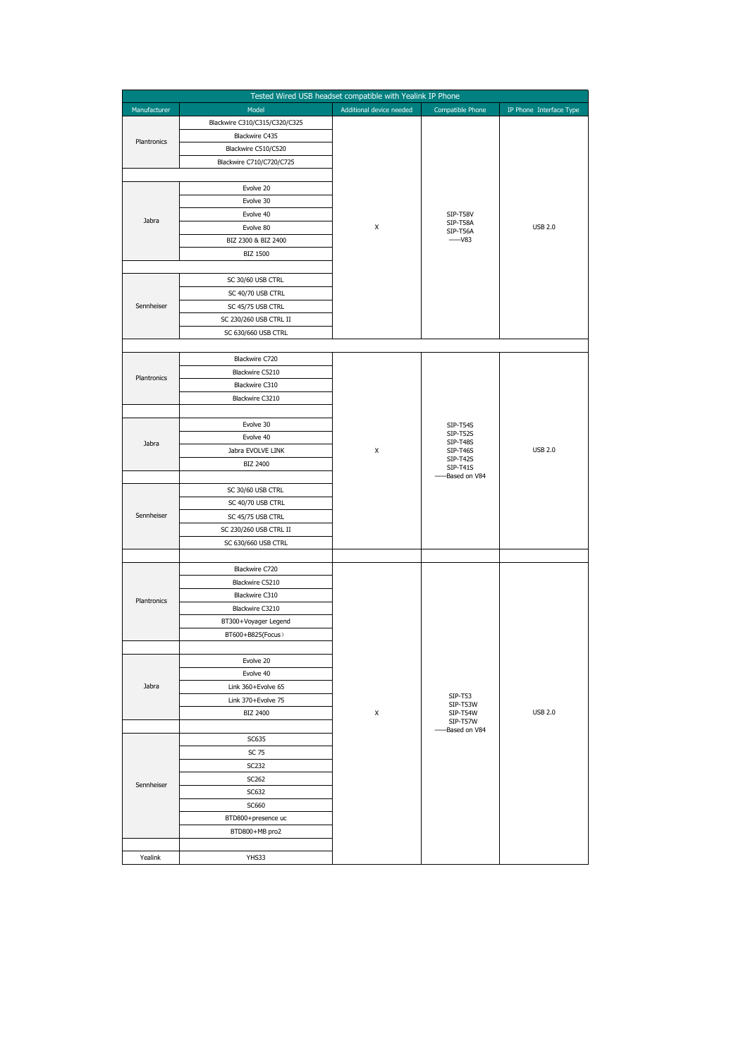| Tested Wired USB headset compatible with Yealink IP Phone |                               |                          |                                                                                         |                         |
|-----------------------------------------------------------|-------------------------------|--------------------------|-----------------------------------------------------------------------------------------|-------------------------|
| Manufacturer                                              | Model                         | Additional device needed | <b>Compatible Phone</b>                                                                 | IP Phone Interface Type |
|                                                           | Blackwire C310/C315/C320/C325 |                          |                                                                                         |                         |
| Plantronics                                               | Blackwire C435                |                          |                                                                                         |                         |
|                                                           | Blackwire C510/C520           |                          |                                                                                         |                         |
|                                                           | Blackwire C710/C720/C725      |                          |                                                                                         |                         |
|                                                           |                               |                          |                                                                                         |                         |
|                                                           | Evolve 20                     |                          |                                                                                         |                         |
|                                                           | Evolve 30                     |                          |                                                                                         |                         |
| Jabra                                                     | Evolve 40                     |                          | SIP-T58V                                                                                |                         |
|                                                           | Evolve 80                     | X                        | SIP-T58A<br>SIP-T56A                                                                    | <b>USB 2.0</b>          |
|                                                           | BIZ 2300 & BIZ 2400           |                          | $-W83$                                                                                  |                         |
|                                                           | <b>BIZ 1500</b>               |                          |                                                                                         |                         |
|                                                           |                               |                          |                                                                                         |                         |
|                                                           | SC 30/60 USB CTRL             |                          |                                                                                         |                         |
|                                                           | SC 40/70 USB CTRL             |                          |                                                                                         |                         |
| Sennheiser                                                | SC 45/75 USB CTRL             |                          |                                                                                         |                         |
|                                                           | SC 230/260 USB CTRL II        |                          |                                                                                         |                         |
|                                                           | SC 630/660 USB CTRL           |                          |                                                                                         |                         |
|                                                           |                               |                          |                                                                                         |                         |
|                                                           | Blackwire C720                |                          |                                                                                         |                         |
| Plantronics                                               | Blackwire C5210               |                          |                                                                                         |                         |
|                                                           | Blackwire C310                |                          |                                                                                         |                         |
|                                                           | Blackwire C3210               |                          |                                                                                         |                         |
|                                                           |                               |                          |                                                                                         |                         |
|                                                           | Evolve 30                     |                          | SIP-T54S                                                                                |                         |
| Jabra                                                     | Evolve 40                     | X                        | SIP-T52S<br><b>SIP-T48S</b><br>SIP-T46S<br>SIP-T42S<br><b>SIP-T41S</b><br>-Based on V84 | <b>USB 2.0</b>          |
|                                                           | Jabra EVOLVE LINK             |                          |                                                                                         |                         |
|                                                           | <b>BIZ 2400</b>               |                          |                                                                                         |                         |
|                                                           |                               |                          |                                                                                         |                         |
|                                                           | SC 30/60 USB CTRL             |                          |                                                                                         |                         |
|                                                           | SC 40/70 USB CTRL             |                          |                                                                                         |                         |
| Sennheiser                                                | SC 45/75 USB CTRL             |                          |                                                                                         |                         |
|                                                           | SC 230/260 USB CTRL II        |                          |                                                                                         |                         |
|                                                           | SC 630/660 USB CTRL           |                          |                                                                                         |                         |
|                                                           |                               |                          |                                                                                         |                         |
|                                                           | Blackwire C720                |                          |                                                                                         |                         |
|                                                           | Blackwire C5210               |                          |                                                                                         |                         |
| Plantronics                                               | Blackwire C310                |                          |                                                                                         |                         |
|                                                           | Blackwire C3210               |                          |                                                                                         |                         |
|                                                           | BT300+Voyager Legend          |                          |                                                                                         |                         |
|                                                           | BT600+B825(Focus)             |                          |                                                                                         |                         |
|                                                           |                               |                          |                                                                                         |                         |
|                                                           | Evolve 20<br>Evolve 40        |                          |                                                                                         |                         |
| Jabra                                                     | Link 360+Evolve 65            |                          |                                                                                         |                         |
|                                                           | Link 370+Evolve 75            |                          | <b>SIP-T53</b>                                                                          |                         |
|                                                           | <b>BIZ 2400</b>               | X                        | SIP-T53W<br>SIP-T54W                                                                    | <b>USB 2.0</b>          |
|                                                           |                               |                          | SIP-T57W                                                                                |                         |
|                                                           | SC635                         |                          | -Based on V84                                                                           |                         |
| Sennheiser                                                | SC 75                         |                          |                                                                                         |                         |
|                                                           | SC232                         |                          |                                                                                         |                         |
|                                                           | SC262                         |                          |                                                                                         |                         |
|                                                           | SC632                         |                          |                                                                                         |                         |
|                                                           | SC660                         |                          |                                                                                         |                         |
|                                                           | BTD800+presence uc            |                          |                                                                                         |                         |
|                                                           | BTD800+MB pro2                |                          |                                                                                         |                         |
|                                                           |                               |                          |                                                                                         |                         |
| Yealink                                                   | YHS33                         |                          |                                                                                         |                         |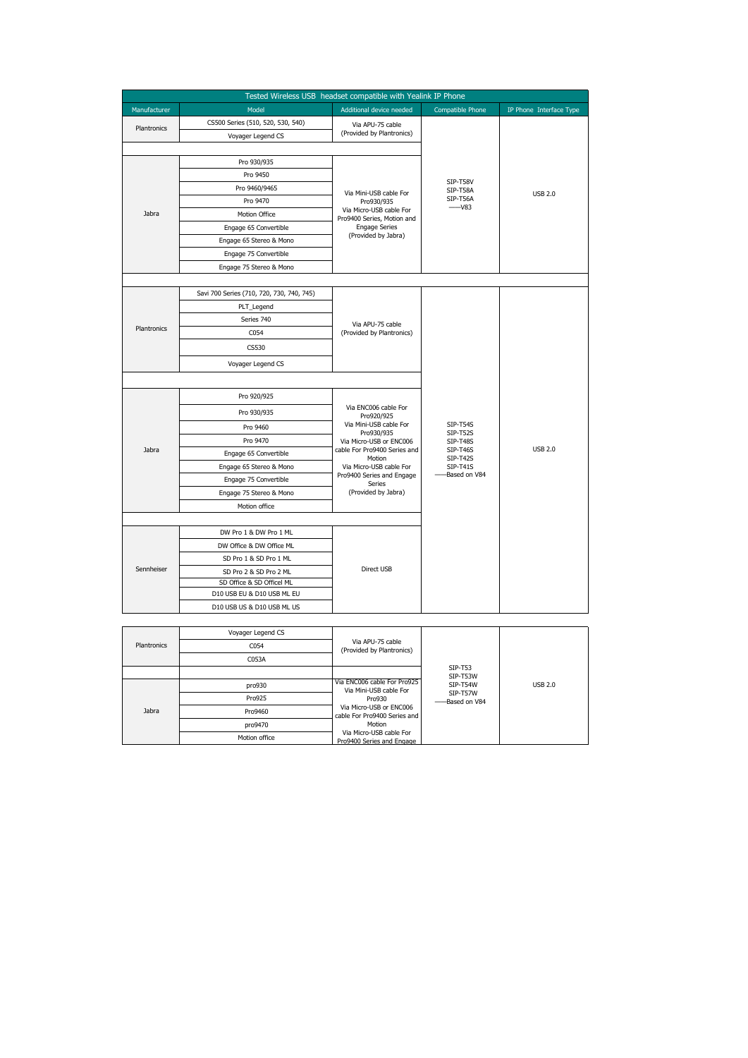| Tested Wireless USB headset compatible with Yealink IP Phone |                                           |                                                       |                                                                                                                         |                         |
|--------------------------------------------------------------|-------------------------------------------|-------------------------------------------------------|-------------------------------------------------------------------------------------------------------------------------|-------------------------|
| Manufacturer                                                 | Model                                     | Additional device needed                              | <b>Compatible Phone</b>                                                                                                 | IP Phone Interface Type |
| Plantronics                                                  | CS500 Series (510, 520, 530, 540)         | Via APU-75 cable                                      |                                                                                                                         |                         |
|                                                              | Voyager Legend CS                         | (Provided by Plantronics)                             |                                                                                                                         |                         |
|                                                              |                                           |                                                       |                                                                                                                         |                         |
|                                                              | Pro 930/935                               |                                                       |                                                                                                                         | <b>USB 2.0</b>          |
|                                                              | Pro 9450                                  | Via Mini-USB cable For<br>Pro930/935                  | SIP-T58V<br>SIP-T58A<br>SIP-T56A<br>$-V83$                                                                              |                         |
|                                                              | Pro 9460/9465                             |                                                       |                                                                                                                         |                         |
|                                                              | Pro 9470                                  |                                                       |                                                                                                                         |                         |
| Jabra                                                        | Motion Office                             | Via Micro-USB cable For<br>Pro9400 Series, Motion and |                                                                                                                         |                         |
|                                                              | Engage 65 Convertible                     | <b>Engage Series</b>                                  |                                                                                                                         |                         |
|                                                              | Engage 65 Stereo & Mono                   | (Provided by Jabra)                                   |                                                                                                                         |                         |
|                                                              | Engage 75 Convertible                     |                                                       |                                                                                                                         |                         |
|                                                              | Engage 75 Stereo & Mono                   |                                                       |                                                                                                                         |                         |
|                                                              |                                           |                                                       |                                                                                                                         |                         |
|                                                              | Savi 700 Series (710, 720, 730, 740, 745) |                                                       |                                                                                                                         |                         |
|                                                              | PLT_Legend                                |                                                       |                                                                                                                         |                         |
|                                                              | Series 740                                | Via APU-75 cable<br>(Provided by Plantronics)         |                                                                                                                         |                         |
| Plantronics                                                  | C054                                      |                                                       |                                                                                                                         |                         |
|                                                              | CS530                                     |                                                       |                                                                                                                         |                         |
|                                                              | Voyager Legend CS                         |                                                       |                                                                                                                         |                         |
|                                                              |                                           |                                                       |                                                                                                                         |                         |
|                                                              | Pro 920/925                               | Via ENC006 cable For<br>Pro920/925                    | <b>SIP-T54S</b><br><b>SIP-T52S</b><br>SIP-T48S<br><b>SIP-T46S</b><br><b>SIP-T42S</b><br><b>SIP-T41S</b><br>Based on V84 | <b>USB 2.0</b>          |
|                                                              | Pro 930/935                               |                                                       |                                                                                                                         |                         |
|                                                              | Pro 9460                                  | Via Mini-USB cable For                                |                                                                                                                         |                         |
|                                                              | Pro 9470                                  | Pro930/935<br>Via Micro-USB or ENC006                 |                                                                                                                         |                         |
| Jabra                                                        | Engage 65 Convertible                     | cable For Pro9400 Series and<br>Motion                |                                                                                                                         |                         |
|                                                              | Engage 65 Stereo & Mono                   | Via Micro-USB cable For                               |                                                                                                                         |                         |
|                                                              | Engage 75 Convertible                     | Pro9400 Series and Engage<br>Series                   |                                                                                                                         |                         |
|                                                              | Engage 75 Stereo & Mono                   | (Provided by Jabra)                                   |                                                                                                                         |                         |
|                                                              | Motion office                             |                                                       |                                                                                                                         |                         |
|                                                              |                                           |                                                       |                                                                                                                         |                         |
|                                                              | DW Pro 1 & DW Pro 1 ML                    |                                                       |                                                                                                                         |                         |
|                                                              | DW Office & DW Office ML                  |                                                       |                                                                                                                         |                         |
|                                                              | SD Pro 1 & SD Pro 1 ML                    | Direct USB                                            |                                                                                                                         |                         |
| Sennheiser                                                   | SD Pro 2 & SD Pro 2 ML                    |                                                       |                                                                                                                         |                         |
|                                                              | SD Office & SD Officel ML                 |                                                       |                                                                                                                         |                         |
|                                                              | D10 USB EU & D10 USB ML EU                |                                                       |                                                                                                                         |                         |
|                                                              | D10 USB US & D10 USB ML US                |                                                       |                                                                                                                         |                         |

|             | Voyager Legend CS |                                                                                                                                      |                                       |                |
|-------------|-------------------|--------------------------------------------------------------------------------------------------------------------------------------|---------------------------------------|----------------|
| Plantronics | C054              | Via APU-75 cable<br>(Provided by Plantronics)                                                                                        |                                       |                |
|             | C053A             |                                                                                                                                      |                                       |                |
|             |                   |                                                                                                                                      | SIP-T53<br>SIP-T53W                   |                |
| Jabra       | pro930            | Via ENC006 cable For Pro925<br>Via Mini-USB cable For<br>Pro930<br>Via Micro-USB or ENC006<br>cable For Pro9400 Series and<br>Motion | SIP-T54W<br>SIP-T57W<br>-Based on V84 | <b>USB 2.0</b> |
|             | Pro925            |                                                                                                                                      |                                       |                |
|             | Pro9460           |                                                                                                                                      |                                       |                |
|             | pro9470           |                                                                                                                                      |                                       |                |
|             | Motion office     | Via Micro-USB cable For<br>Pro9400 Series and Engage                                                                                 |                                       |                |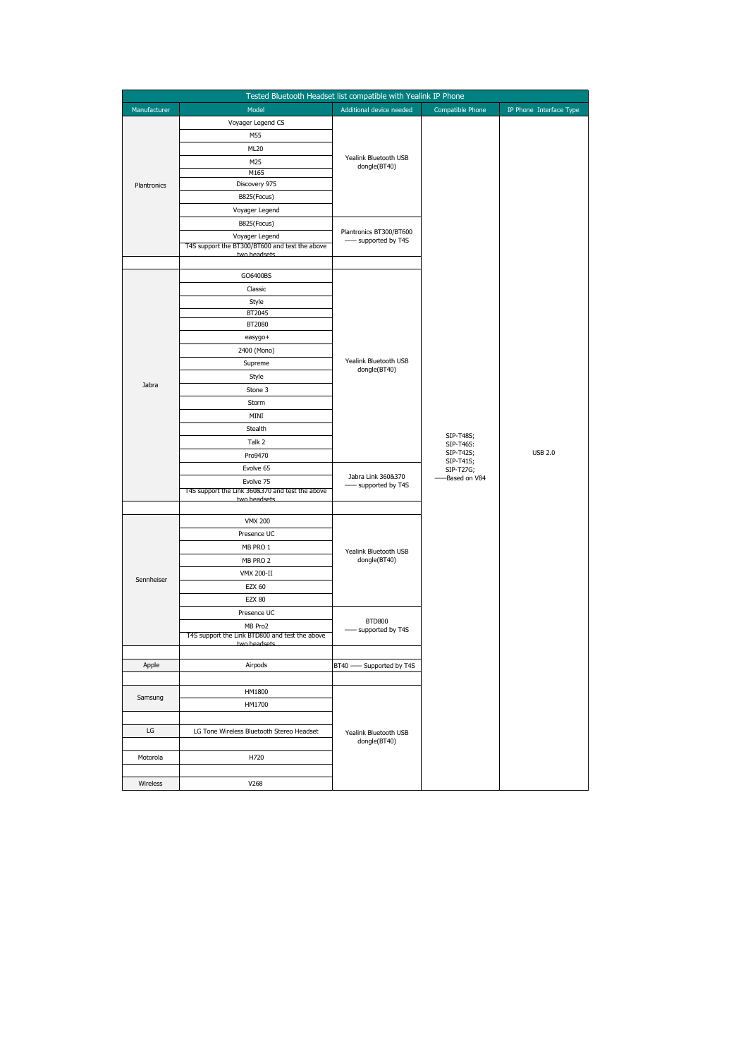| Tested Bluetooth Headset list compatible with Yealink IP Phone |                                                                |                                             |                           |                         |
|----------------------------------------------------------------|----------------------------------------------------------------|---------------------------------------------|---------------------------|-------------------------|
| Manufacturer                                                   | Model                                                          | Additional device needed                    | <b>Compatible Phone</b>   | IP Phone Interface Type |
|                                                                | Voyager Legend CS                                              |                                             |                           |                         |
|                                                                | M55                                                            |                                             |                           |                         |
|                                                                | <b>ML20</b>                                                    |                                             |                           |                         |
|                                                                | M25                                                            | Yealink Bluetooth USB<br>dongle(BT40)       |                           |                         |
|                                                                | M165                                                           |                                             |                           |                         |
| Plantronics                                                    | Discovery 975                                                  |                                             |                           |                         |
|                                                                | B825(Focus)                                                    |                                             |                           |                         |
|                                                                | Voyager Legend                                                 |                                             |                           |                         |
|                                                                | B825(Focus)                                                    | Plantronics BT300/BT600<br>supported by T4S |                           |                         |
|                                                                | Voyager Legend                                                 |                                             |                           |                         |
|                                                                | T4S support the BT300/BT600 and test the above<br>two headsets |                                             |                           |                         |
|                                                                |                                                                |                                             |                           |                         |
|                                                                | GO6400BS                                                       |                                             |                           |                         |
|                                                                | Classic                                                        |                                             |                           |                         |
|                                                                | Style                                                          |                                             |                           |                         |
|                                                                | BT2045                                                         |                                             |                           |                         |
|                                                                | BT2080                                                         |                                             |                           |                         |
|                                                                | easygo+                                                        |                                             |                           |                         |
|                                                                | 2400 (Mono)                                                    |                                             |                           |                         |
|                                                                | Supreme                                                        | Yealink Bluetooth USB<br>dongle(BT40)       |                           |                         |
|                                                                | Style                                                          |                                             |                           |                         |
| Jabra                                                          | Stone 3                                                        |                                             |                           |                         |
|                                                                | Storm                                                          |                                             | SIP-T48S;                 |                         |
|                                                                | MINI                                                           |                                             |                           |                         |
|                                                                | Stealth                                                        |                                             |                           |                         |
|                                                                | Talk 2                                                         | SIP-T46S:<br>SIP-T42S;<br>SIP-T41S;         |                           |                         |
|                                                                | Pro9470                                                        |                                             | <b>USB 2.0</b>            |                         |
|                                                                | Evolve 65                                                      | Jabra Link 360&370<br>supported by T4S      | SIP-T27G;<br>Based on V84 |                         |
|                                                                | Evolve 75                                                      |                                             |                           |                         |
|                                                                | T4S support the Link 3608370 and test the above<br>two headset |                                             |                           |                         |
|                                                                |                                                                |                                             |                           |                         |
|                                                                | <b>VMX 200</b>                                                 |                                             |                           |                         |
|                                                                | Presence UC                                                    |                                             |                           |                         |
|                                                                | MB PRO 1                                                       | Yealink Bluetooth USB                       |                           |                         |
|                                                                | MB PRO 2                                                       | dongle(BT40)                                |                           |                         |
|                                                                | <b>VMX 200-II</b>                                              |                                             |                           |                         |
| Sennheiser                                                     | <b>EZX 60</b>                                                  |                                             |                           |                         |
|                                                                | <b>EZX 80</b>                                                  |                                             |                           |                         |
|                                                                | Presence UC                                                    |                                             |                           |                         |
|                                                                | MB Pro2                                                        | <b>BTD800</b><br>- supported by T4S         |                           |                         |
|                                                                | T4S support the Link BTD800 and test the above<br>two headsets |                                             |                           |                         |
|                                                                |                                                                |                                             |                           |                         |
| Apple                                                          | Airpods                                                        | - Supported by T4S<br>BT40                  |                           |                         |
|                                                                |                                                                |                                             |                           |                         |
| Samsung                                                        | HM1800                                                         |                                             |                           |                         |
|                                                                | HM1700                                                         |                                             |                           |                         |
|                                                                |                                                                |                                             |                           |                         |
| LG                                                             | LG Tone Wireless Bluetooth Stereo Headset                      | Yealink Bluetooth USB                       |                           |                         |
|                                                                |                                                                | dongle(BT40)                                |                           |                         |
| Motorola                                                       | H720                                                           |                                             |                           |                         |
|                                                                |                                                                |                                             |                           |                         |
| Wireless                                                       | V268                                                           |                                             |                           |                         |